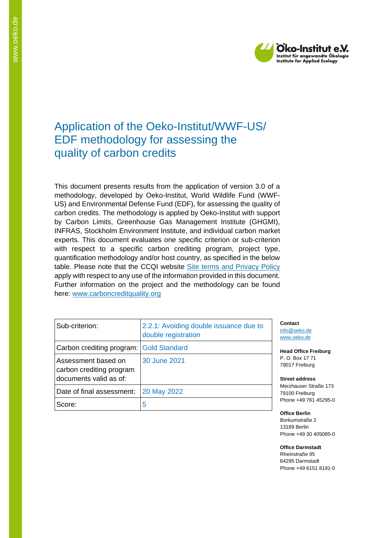

# Application of the Oeko-Institut/WWF-US/ EDF methodology for assessing the quality of carbon credits

This document presents results from the application of version 3.0 of a methodology, developed by Oeko-Institut, World Wildlife Fund (WWF-US) and Environmental Defense Fund (EDF), for assessing the quality of carbon credits. The methodology is applied by Oeko-Institut with support by Carbon Limits, Greenhouse Gas Management Institute (GHGMI), INFRAS, Stockholm Environment Institute, and individual carbon market experts. This document evaluates one specific criterion or sub-criterion with respect to a specific carbon crediting program, project type, quantification methodology and/or host country, as specified in the below table. Please note that the CCQI website [Site terms and Privacy Policy](https://carboncreditquality.org/terms.html) apply with respect to any use of the information provided in this document. Further information on the project and the methodology can be found here: [www.carboncreditquality.org](http://www.carboncreditquality.org/)

| Sub-criterion:                                                            | 2.2.1: Avoiding double issuance due to<br>double registration |
|---------------------------------------------------------------------------|---------------------------------------------------------------|
| Carbon crediting program: Gold Standard                                   |                                                               |
| Assessment based on<br>carbon crediting program<br>documents valid as of: | 30 June 2021                                                  |
| Date of final assessment:                                                 | 20 May 2022                                                   |
| Score:                                                                    | 5                                                             |

**Contact** [info@oeko.de](mailto:info@oeko.de) [www.oeko.de](http://www.oeko.de/)

**Head Office Freiburg** P. O. Box 17 71 79017 Freiburg

**Street address** Merzhauser Straße 173 79100 Freiburg Phone +49 761 45295-0

**Office Berlin** Borkumstraße 2 13189 Berlin Phone +49 30 405085-0

**Office Darmstadt** Rheinstraße 95 64295 Darmstadt Phone +49 6151 8191-0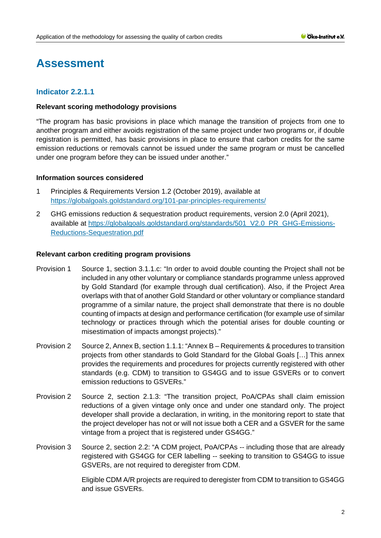# **Assessment**

# **Indicator 2.2.1.1**

#### **Relevant scoring methodology provisions**

"The program has basic provisions in place which manage the transition of projects from one to another program and either avoids registration of the same project under two programs or, if double registration is permitted, has basic provisions in place to ensure that carbon credits for the same emission reductions or removals cannot be issued under the same program or must be cancelled under one program before they can be issued under another."

#### **Information sources considered**

- 1 Principles & Requirements Version 1.2 (October 2019), available at <https://globalgoals.goldstandard.org/101-par-principles-requirements/>
- 2 GHG emissions reduction & sequestration product requirements, version 2.0 (April 2021), available at [https://globalgoals.goldstandard.org/standards/501\\_V2.0\\_PR\\_GHG-Emissions-](https://globalgoals.goldstandard.org/standards/501_V2.0_PR_GHG-Emissions-Reductions-Sequestration.pdf)[Reductions-Sequestration.pdf](https://globalgoals.goldstandard.org/standards/501_V2.0_PR_GHG-Emissions-Reductions-Sequestration.pdf)

#### **Relevant carbon crediting program provisions**

- Provision 1 Source 1, section 3.1.1.c: "In order to avoid double counting the Project shall not be included in any other voluntary or compliance standards programme unless approved by Gold Standard (for example through dual certification). Also, if the Project Area overlaps with that of another Gold Standard or other voluntary or compliance standard programme of a similar nature, the project shall demonstrate that there is no double counting of impacts at design and performance certification (for example use of similar technology or practices through which the potential arises for double counting or misestimation of impacts amongst projects)."
- Provision 2 Source 2, Annex B, section 1.1.1: "Annex B Requirements & procedures to transition projects from other standards to Gold Standard for the Global Goals […] This annex provides the requirements and procedures for projects currently registered with other standards (e.g. CDM) to transition to GS4GG and to issue GSVERs or to convert emission reductions to GSVERs."
- Provision 2 Source 2, section 2.1.3: "The transition project, PoA/CPAs shall claim emission reductions of a given vintage only once and under one standard only. The project developer shall provide a declaration, in writing, in the monitoring report to state that the project developer has not or will not issue both a CER and a GSVER for the same vintage from a project that is registered under GS4GG."
- Provision 3 Source 2, section 2.2: "A CDM project, PoA/CPAs -- including those that are already registered with GS4GG for CER labelling -- seeking to transition to GS4GG to issue GSVERs, are not required to deregister from CDM.

Eligible CDM A/R projects are required to deregister from CDM to transition to GS4GG and issue GSVERs.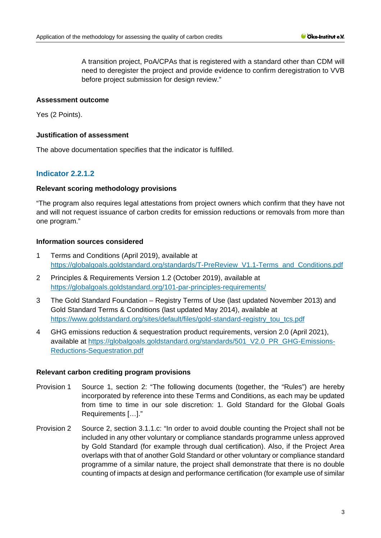A transition project, PoA/CPAs that is registered with a standard other than CDM will need to deregister the project and provide evidence to confirm deregistration to VVB before project submission for design review."

### **Assessment outcome**

Yes (2 Points).

# **Justification of assessment**

The above documentation specifies that the indicator is fulfilled.

# **Indicator 2.2.1.2**

# **Relevant scoring methodology provisions**

"The program also requires legal attestations from project owners which confirm that they have not and will not request issuance of carbon credits for emission reductions or removals from more than one program."

# **Information sources considered**

- 1 Terms and Conditions (April 2019), available at [https://globalgoals.goldstandard.org/standards/T-PreReview\\_V1.1-Terms\\_and\\_Conditions.pdf](https://globalgoals.goldstandard.org/standards/T-PreReview_V1.1-Terms_and_Conditions.pdf)
- 2 Principles & Requirements Version 1.2 (October 2019), available at <https://globalgoals.goldstandard.org/101-par-principles-requirements/>
- 3 The Gold Standard Foundation Registry Terms of Use (last updated November 2013) and Gold Standard Terms & Conditions (last updated May 2014), available at [https://www.goldstandard.org/sites/default/files/gold-standard-registry\\_tou\\_tcs.pdf](https://www.goldstandard.org/sites/default/files/gold-standard-registry_tou_tcs.pdf)
- 4 GHG emissions reduction & sequestration product requirements, version 2.0 (April 2021), available at [https://globalgoals.goldstandard.org/standards/501\\_V2.0\\_PR\\_GHG-Emissions-](https://globalgoals.goldstandard.org/standards/501_V2.0_PR_GHG-Emissions-Reductions-Sequestration.pdf)[Reductions-Sequestration.pdf](https://globalgoals.goldstandard.org/standards/501_V2.0_PR_GHG-Emissions-Reductions-Sequestration.pdf)

#### **Relevant carbon crediting program provisions**

- Provision 1 Source 1, section 2: "The following documents (together, the "Rules") are hereby incorporated by reference into these Terms and Conditions, as each may be updated from time to time in our sole discretion: 1. [Gold Standard for the Global Goals](https://www.goldstandard.org/project-developers/standard-documents)  [Requirements](https://www.goldstandard.org/project-developers/standard-documents) […]."
- Provision 2 Source 2, section 3.1.1.c: "In order to avoid double counting the Project shall not be included in any other voluntary or compliance standards programme unless approved by Gold Standard (for example through dual certification). Also, if the Project Area overlaps with that of another Gold Standard or other voluntary or compliance standard programme of a similar nature, the project shall demonstrate that there is no double counting of impacts at design and performance certification (for example use of similar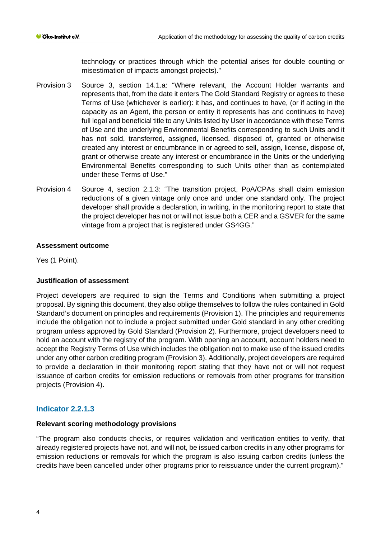technology or practices through which the potential arises for double counting or misestimation of impacts amongst projects)."

- Provision 3 Source 3, section 14.1.a: "Where relevant, the Account Holder warrants and represents that, from the date it enters The Gold Standard Registry or agrees to these Terms of Use (whichever is earlier): it has, and continues to have, (or if acting in the capacity as an Agent, the person or entity it represents has and continues to have) full legal and beneficial title to any Units listed by User in accordance with these Terms of Use and the underlying Environmental Benefits corresponding to such Units and it has not sold, transferred, assigned, licensed, disposed of, granted or otherwise created any interest or encumbrance in or agreed to sell, assign, license, dispose of, grant or otherwise create any interest or encumbrance in the Units or the underlying Environmental Benefits corresponding to such Units other than as contemplated under these Terms of Use."
- Provision 4 Source 4, section 2.1.3: "The transition project, PoA/CPAs shall claim emission reductions of a given vintage only once and under one standard only. The project developer shall provide a declaration, in writing, in the monitoring report to state that the project developer has not or will not issue both a CER and a GSVER for the same vintage from a project that is registered under GS4GG."

#### **Assessment outcome**

Yes (1 Point).

#### **Justification of assessment**

Project developers are required to sign the Terms and Conditions when submitting a project proposal. By signing this document, they also oblige themselves to follow the rules contained in Gold Standard's document on principles and requirements (Provision 1). The principles and requirements include the obligation not to include a project submitted under Gold standard in any other crediting program unless approved by Gold Standard (Provision 2). Furthermore, project developers need to hold an account with the registry of the program. With opening an account, account holders need to accept the Registry Terms of Use which includes the obligation not to make use of the issued credits under any other carbon crediting program (Provision 3). Additionally, project developers are required to provide a declaration in their monitoring report stating that they have not or will not request issuance of carbon credits for emission reductions or removals from other programs for transition projects (Provision 4).

#### **Indicator 2.2.1.3**

#### **Relevant scoring methodology provisions**

"The program also conducts checks, or requires validation and verification entities to verify, that already registered projects have not, and will not, be issued carbon credits in any other programs for emission reductions or removals for which the program is also issuing carbon credits (unless the credits have been cancelled under other programs prior to reissuance under the current program)."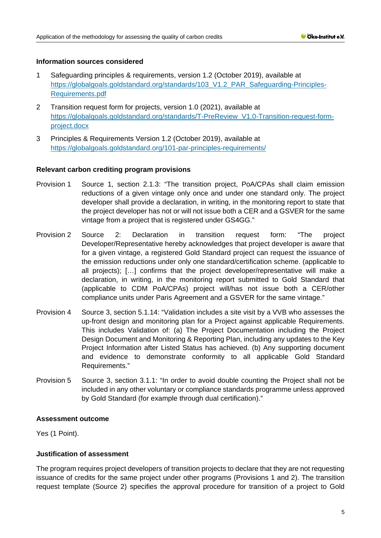#### **Information sources considered**

- 1 Safeguarding principles & requirements, version 1.2 (October 2019), available at [https://globalgoals.goldstandard.org/standards/103\\_V1.2\\_PAR\\_Safeguarding-Principles-](https://globalgoals.goldstandard.org/standards/103_V1.2_PAR_Safeguarding-Principles-Requirements.pdf)[Requirements.pdf](https://globalgoals.goldstandard.org/standards/103_V1.2_PAR_Safeguarding-Principles-Requirements.pdf)
- 2 Transition request form for projects, version 1.0 (2021), available at [https://globalgoals.goldstandard.org/standards/T-PreReview\\_V1.0-Transition-request-form](https://globalgoals.goldstandard.org/standards/T-PreReview_V1.0-Transition-request-form-project.docx)[project.docx](https://globalgoals.goldstandard.org/standards/T-PreReview_V1.0-Transition-request-form-project.docx)
- 3 Principles & Requirements Version 1.2 (October 2019), available at <https://globalgoals.goldstandard.org/101-par-principles-requirements/>

#### **Relevant carbon crediting program provisions**

- Provision 1 Source 1, section 2.1.3: "The transition project, PoA/CPAs shall claim emission reductions of a given vintage only once and under one standard only. The project developer shall provide a declaration, in writing, in the monitoring report to state that the project developer has not or will not issue both a CER and a GSVER for the same vintage from a project that is registered under GS4GG."
- Provision 2 Source 2: Declaration in transition request form: "The project Developer/Representative hereby acknowledges that project developer is aware that for a given vintage, a registered Gold Standard project can request the issuance of the emission reductions under only one standard/certification scheme. (applicable to all projects); […] confirms that the project developer/representative will make a declaration, in writing, in the monitoring report submitted to Gold Standard that (applicable to CDM PoA/CPAs) project will/has not issue both a CER/other compliance units under Paris Agreement and a GSVER for the same vintage."
- Provision 4 Source 3, section 5.1.14: "Validation includes a site visit by a VVB who assesses the up-front design and monitoring plan for a Project against applicable Requirements. This includes Validation of: (a) The Project Documentation including the Project Design Document and Monitoring & Reporting Plan, including any updates to the Key Project Information after Listed Status has achieved. (b) Any supporting document and evidence to demonstrate conformity to all applicable Gold Standard Requirements."
- Provision 5 Source 3, section 3.1.1: "In order to avoid double counting the Project shall not be included in any other voluntary or compliance standards programme unless approved by Gold Standard (for example through dual certification)."

#### **Assessment outcome**

Yes (1 Point).

#### **Justification of assessment**

The program requires project developers of transition projects to declare that they are not requesting issuance of credits for the same project under other programs (Provisions 1 and 2). The transition request template (Source 2) specifies the approval procedure for transition of a project to Gold